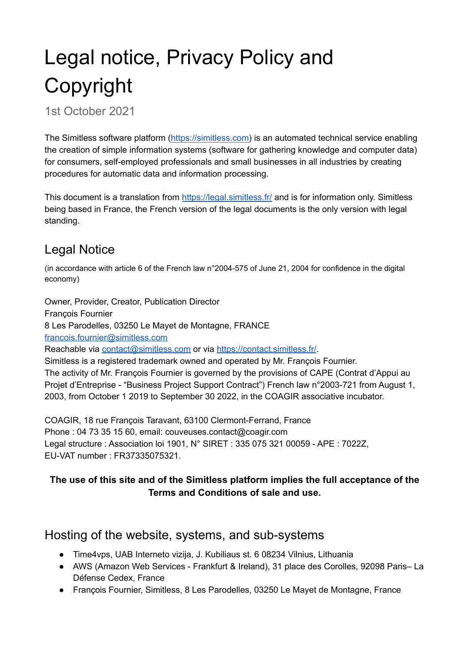# Legal notice, Privacy Policy and Copyright

1st October 2021

The Simitless software platform ([https://simitless.com\)](https://simitless.com) is an automated technical service enabling the creation of simple information systems (software for gathering knowledge and computer data) for consumers, self-employed professionals and small businesses in all industries by creating procedures for automatic data and information processing.

This document is a translation from <https://legal.simitless.fr/> and is for information only. Simitless being based in France, the French version of the legal documents is the only version with legal standing.

## Legal Notice

(in accordance with article 6 of the French law n°2004-575 of June 21, 2004 for confidence in the digital economy)

Owner, Provider, Creator, Publication Director François Fournier 8 Les Parodelles, 03250 Le Mayet de Montagne, FRANCE [francois.fournier@simitless.com](mailto:francois.fournier@simitless.com) Reachable via [contact@simitless.com](mailto:contact@simitless.com) or via <https://contact.simitless.fr/>. Simitless is a registered trademark owned and operated by Mr. François Fournier. The activity of Mr. François Fournier is governed by the provisions of CAPE (Contrat d'Appui au Projet d'Entreprise - "Business Project Support Contract") French law n°2003-721 from August 1, 2003, from October 1 2019 to September 30 2022, in the COAGIR associative incubator.

COAGIR, 18 rue François Taravant, 63100 Clermont-Ferrand, France Phone : 04 73 35 15 60, email: couveuses.contact@coagir.com Legal structure : Association loi 1901, N° SIRET : 335 075 321 00059 - APE : 7022Z, EU-VAT number : FR37335075321.

#### **The use of this site and of the Simitless platform implies the full acceptance of the Terms and Conditions of sale and use.**

#### Hosting of the website, systems, and sub-systems

- Time4vps, UAB Interneto vizija, J. Kubiliaus st. 6 08234 Vilnius, Lithuania
- AWS (Amazon Web Services Frankfurt & Ireland), 31 place des Corolles, 92098 Paris– La Défense Cedex, France
- François Fournier, Simitless, 8 Les Parodelles, 03250 Le Mayet de Montagne, France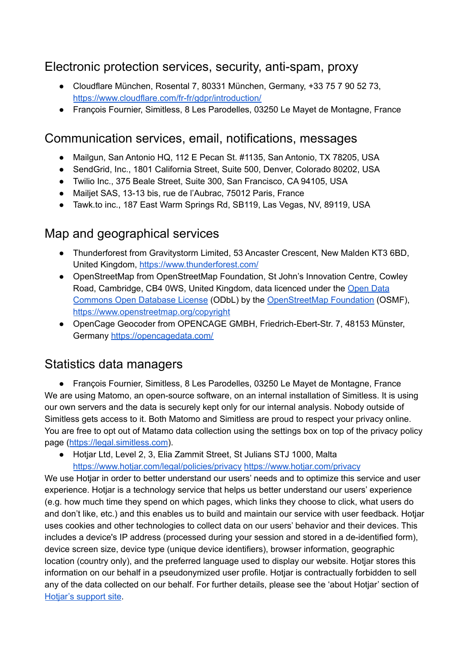#### Electronic protection services, security, anti-spam, proxy

- Cloudflare München, Rosental 7, 80331 München, Germany, +33 75 7 90 52 73, <https://www.cloudflare.com/fr-fr/gdpr/introduction/>
- François Fournier, Simitless, 8 Les Parodelles, 03250 Le Mayet de Montagne, France

#### Communication services, email, notifications, messages

- Mailgun, San Antonio HQ, 112 E Pecan St. #1135, San Antonio, TX 78205, USA
- SendGrid, Inc., 1801 California Street, Suite 500, Denver, Colorado 80202, USA
- Twilio Inc., 375 Beale Street, Suite 300, San Francisco, CA 94105, USA
- Mailjet SAS, 13-13 bis, rue de l'Aubrac, 75012 Paris, France
- Tawk.to inc., 187 East Warm Springs Rd, SB119, Las Vegas, NV, 89119, USA

#### Map and geographical services

- Thunderforest from Gravitystorm Limited, 53 Ancaster Crescent, New Malden KT3 6BD, United Kingdom, [https://www.thunderforest.com/](https://www.thunderforest.com/contact/)
- OpenStreetMap from OpenStreetMap Foundation, St John's Innovation Centre, Cowley Road, Cambridge, CB4 0WS, United Kingdom, data licenced under the [Open](https://opendatacommons.org/licenses/odbl/) Data [Commons](https://opendatacommons.org/licenses/odbl/) Open Database License (ODbL) by the [OpenStreetMap](https://osmfoundation.org/) Foundation (OSMF), <https://www.openstreetmap.org/copyright>
- OpenCage Geocoder from OPENCAGE GMBH, Friedrich-Ebert-Str. 7, 48153 Münster, Germany <https://opencagedata.com/>

## Statistics data managers

● François Fournier, Simitless, 8 Les Parodelles, 03250 Le Mayet de Montagne, France We are using Matomo, an open-source software, on an internal installation of Simitless. It is using our own servers and the data is securely kept only for our internal analysis. Nobody outside of Simitless gets access to it. Both Matomo and Simitless are proud to respect your privacy online. You are free to opt out of Matamo data collection using the settings box on top of the privacy policy page (<https://legal.simitless.com>).

● Hotjar Ltd, Level 2, 3, Elia Zammit Street, St Julians STJ 1000, Malta <https://www.hotjar.com/legal/policies/privacy> <https://www.hotjar.com/privacy>

We use Hotjar in order to better understand our users' needs and to optimize this service and user experience. Hotjar is a technology service that helps us better understand our users' experience (e.g. how much time they spend on which pages, which links they choose to click, what users do and don't like, etc.) and this enables us to build and maintain our service with user feedback. Hotjar uses cookies and other technologies to collect data on our users' behavior and their devices. This includes a device's IP address (processed during your session and stored in a de-identified form), device screen size, device type (unique device identifiers), browser information, geographic location (country only), and the preferred language used to display our website. Hotjar stores this information on our behalf in a pseudonymized user profile. Hotjar is contractually forbidden to sell any of the data collected on our behalf. For further details, please see the 'about Hotjar' section of [Hotjar's](https://help.hotjar.com/hc/en-us/categories/115001323967-About-Hotjar) support site.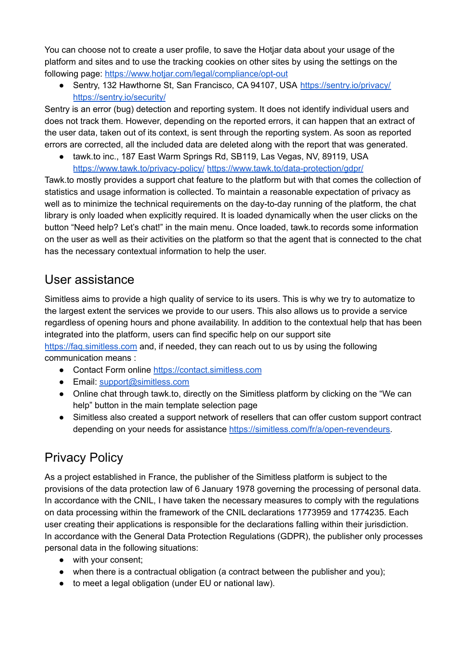You can choose not to create a user profile, to save the Hotjar data about your usage of the platform and sites and to use the tracking cookies on other sites by using the settings on the following page: <https://www.hotjar.com/legal/compliance/opt-out>

• Sentry, 132 Hawthorne St, San Francisco, CA 94107, USA <https://sentry.io/privacy/> <https://sentry.io/security/>

Sentry is an error (bug) detection and reporting system. It does not identify individual users and does not track them. However, depending on the reported errors, it can happen that an extract of the user data, taken out of its context, is sent through the reporting system. As soon as reported errors are corrected, all the included data are deleted along with the report that was generated.

● tawk.to inc., 187 East Warm Springs Rd, SB119, Las Vegas, NV, 89119, USA <https://www.tawk.to/privacy-policy/> <https://www.tawk.to/data-protection/gdpr/>

Tawk.to mostly provides a support chat feature to the platform but with that comes the collection of statistics and usage information is collected. To maintain a reasonable expectation of privacy as well as to minimize the technical requirements on the day-to-day running of the platform, the chat library is only loaded when explicitly required. It is loaded dynamically when the user clicks on the button "Need help? Let's chat!" in the main menu. Once loaded, tawk.to records some information on the user as well as their activities on the platform so that the agent that is connected to the chat has the necessary contextual information to help the user.

#### User assistance

Simitless aims to provide a high quality of service to its users. This is why we try to automatize to the largest extent the services we provide to our users. This also allows us to provide a service regardless of opening hours and phone availability. In addition to the contextual help that has been integrated into the platform, users can find specific help on our support site <https://faq.simitless.com> and, if needed, they can reach out to us by using the following communication means :

- Contact Form online <https://contact.simitless.com>
- Email: [support@simitless.com](mailto:support@simitless.com)
- Online chat through tawk.to, directly on the Simitless platform by clicking on the "We can help" button in the main template selection page
- Simitless also created a support network of resellers that can offer custom support contract depending on your needs for assistance [https://simitless.com/fr/a/open-revendeurs.](https://simitless.com/fr/a/open-revendeurs)

## Privacy Policy

As a project established in France, the publisher of the Simitless platform is subject to the provisions of the data protection law of 6 January 1978 governing the processing of personal data. In accordance with the CNIL, I have taken the necessary measures to comply with the regulations on data processing within the framework of the CNIL declarations 1773959 and 1774235. Each user creating their applications is responsible for the declarations falling within their jurisdiction. In accordance with the General Data Protection Regulations (GDPR), the publisher only processes personal data in the following situations:

- with your consent;
- when there is a contractual obligation (a contract between the publisher and you);
- to meet a legal obligation (under EU or national law).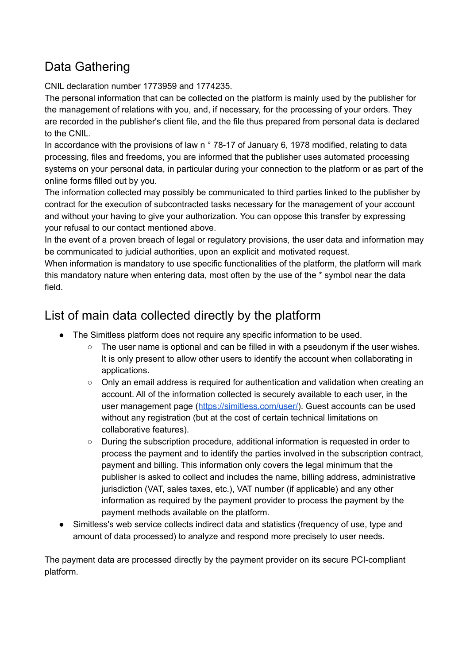## Data Gathering

CNIL declaration number 1773959 and 1774235.

The personal information that can be collected on the platform is mainly used by the publisher for the management of relations with you, and, if necessary, for the processing of your orders. They are recorded in the publisher's client file, and the file thus prepared from personal data is declared to the CNIL.

In accordance with the provisions of law n ° 78-17 of January 6, 1978 modified, relating to data processing, files and freedoms, you are informed that the publisher uses automated processing systems on your personal data, in particular during your connection to the platform or as part of the online forms filled out by you.

The information collected may possibly be communicated to third parties linked to the publisher by contract for the execution of subcontracted tasks necessary for the management of your account and without your having to give your authorization. You can oppose this transfer by expressing your refusal to our contact mentioned above.

In the event of a proven breach of legal or regulatory provisions, the user data and information may be communicated to judicial authorities, upon an explicit and motivated request.

When information is mandatory to use specific functionalities of the platform, the platform will mark this mandatory nature when entering data, most often by the use of the \* symbol near the data field.

### List of main data collected directly by the platform

- The Simitless platform does not require any specific information to be used.
	- The user name is optional and can be filled in with a pseudonym if the user wishes. It is only present to allow other users to identify the account when collaborating in applications.
	- Only an email address is required for authentication and validation when creating an account. All of the information collected is securely available to each user, in the user management page ([https://simitless.com/user/\)](https://simitless.com/user/). Guest accounts can be used without any registration (but at the cost of certain technical limitations on collaborative features).
	- During the subscription procedure, additional information is requested in order to process the payment and to identify the parties involved in the subscription contract, payment and billing. This information only covers the legal minimum that the publisher is asked to collect and includes the name, billing address, administrative jurisdiction (VAT, sales taxes, etc.), VAT number (if applicable) and any other information as required by the payment provider to process the payment by the payment methods available on the platform.
- Simitless's web service collects indirect data and statistics (frequency of use, type and amount of data processed) to analyze and respond more precisely to user needs.

The payment data are processed directly by the payment provider on its secure PCI-compliant platform.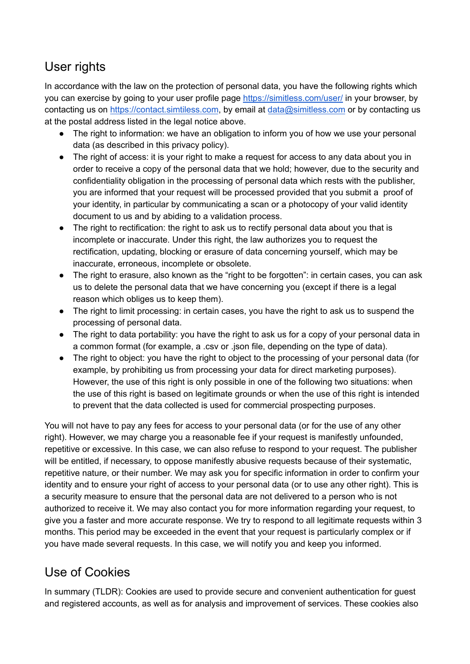## User rights

In accordance with the law on the protection of personal data, you have the following rights which you can exercise by going to your user profile page <https://simitless.com/user/> in your browser, by contacting us on <https://contact.simtiless.com>, by email at [data@simitless.com](mailto:data@simitless.com) or by contacting us at the postal address listed in the legal notice above.

- The right to information: we have an obligation to inform you of how we use your personal data (as described in this privacy policy).
- The right of access: it is your right to make a request for access to any data about you in order to receive a copy of the personal data that we hold; however, due to the security and confidentiality obligation in the processing of personal data which rests with the publisher, you are informed that your request will be processed provided that you submit a proof of your identity, in particular by communicating a scan or a photocopy of your valid identity document to us and by abiding to a validation process.
- The right to rectification: the right to ask us to rectify personal data about you that is incomplete or inaccurate. Under this right, the law authorizes you to request the rectification, updating, blocking or erasure of data concerning yourself, which may be inaccurate, erroneous, incomplete or obsolete.
- The right to erasure, also known as the "right to be forgotten": in certain cases, you can ask us to delete the personal data that we have concerning you (except if there is a legal reason which obliges us to keep them).
- The right to limit processing: in certain cases, you have the right to ask us to suspend the processing of personal data.
- The right to data portability: you have the right to ask us for a copy of your personal data in a common format (for example, a .csv or .json file, depending on the type of data).
- The right to object: you have the right to object to the processing of your personal data (for example, by prohibiting us from processing your data for direct marketing purposes). However, the use of this right is only possible in one of the following two situations: when the use of this right is based on legitimate grounds or when the use of this right is intended to prevent that the data collected is used for commercial prospecting purposes.

You will not have to pay any fees for access to your personal data (or for the use of any other right). However, we may charge you a reasonable fee if your request is manifestly unfounded, repetitive or excessive. In this case, we can also refuse to respond to your request. The publisher will be entitled, if necessary, to oppose manifestly abusive requests because of their systematic, repetitive nature, or their number. We may ask you for specific information in order to confirm your identity and to ensure your right of access to your personal data (or to use any other right). This is a security measure to ensure that the personal data are not delivered to a person who is not authorized to receive it. We may also contact you for more information regarding your request, to give you a faster and more accurate response. We try to respond to all legitimate requests within 3 months. This period may be exceeded in the event that your request is particularly complex or if you have made several requests. In this case, we will notify you and keep you informed.

## Use of Cookies

In summary (TLDR): Cookies are used to provide secure and convenient authentication for guest and registered accounts, as well as for analysis and improvement of services. These cookies also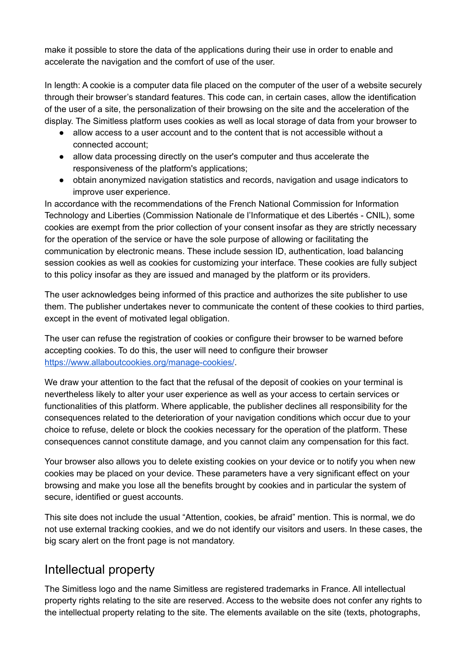make it possible to store the data of the applications during their use in order to enable and accelerate the navigation and the comfort of use of the user.

In length: A cookie is a computer data file placed on the computer of the user of a website securely through their browser's standard features. This code can, in certain cases, allow the identification of the user of a site, the personalization of their browsing on the site and the acceleration of the display. The Simitless platform uses cookies as well as local storage of data from your browser to

- allow access to a user account and to the content that is not accessible without a connected account;
- allow data processing directly on the user's computer and thus accelerate the responsiveness of the platform's applications;
- obtain anonymized navigation statistics and records, navigation and usage indicators to improve user experience.

In accordance with the recommendations of the French National Commission for Information Technology and Liberties (Commission Nationale de l'Informatique et des Libertés - CNIL), some cookies are exempt from the prior collection of your consent insofar as they are strictly necessary for the operation of the service or have the sole purpose of allowing or facilitating the communication by electronic means. These include session ID, authentication, load balancing session cookies as well as cookies for customizing your interface. These cookies are fully subject to this policy insofar as they are issued and managed by the platform or its providers.

The user acknowledges being informed of this practice and authorizes the site publisher to use them. The publisher undertakes never to communicate the content of these cookies to third parties, except in the event of motivated legal obligation.

The user can refuse the registration of cookies or configure their browser to be warned before accepting cookies. To do this, the user will need to configure their browser <https://www.allaboutcookies.org/manage-cookies/>.

We draw your attention to the fact that the refusal of the deposit of cookies on your terminal is nevertheless likely to alter your user experience as well as your access to certain services or functionalities of this platform. Where applicable, the publisher declines all responsibility for the consequences related to the deterioration of your navigation conditions which occur due to your choice to refuse, delete or block the cookies necessary for the operation of the platform. These consequences cannot constitute damage, and you cannot claim any compensation for this fact.

Your browser also allows you to delete existing cookies on your device or to notify you when new cookies may be placed on your device. These parameters have a very significant effect on your browsing and make you lose all the benefits brought by cookies and in particular the system of secure, identified or guest accounts.

This site does not include the usual "Attention, cookies, be afraid" mention. This is normal, we do not use external tracking cookies, and we do not identify our visitors and users. In these cases, the big scary alert on the front page is not mandatory.

#### Intellectual property

The Simitless logo and the name Simitless are registered trademarks in France. All intellectual property rights relating to the site are reserved. Access to the website does not confer any rights to the intellectual property relating to the site. The elements available on the site (texts, photographs,